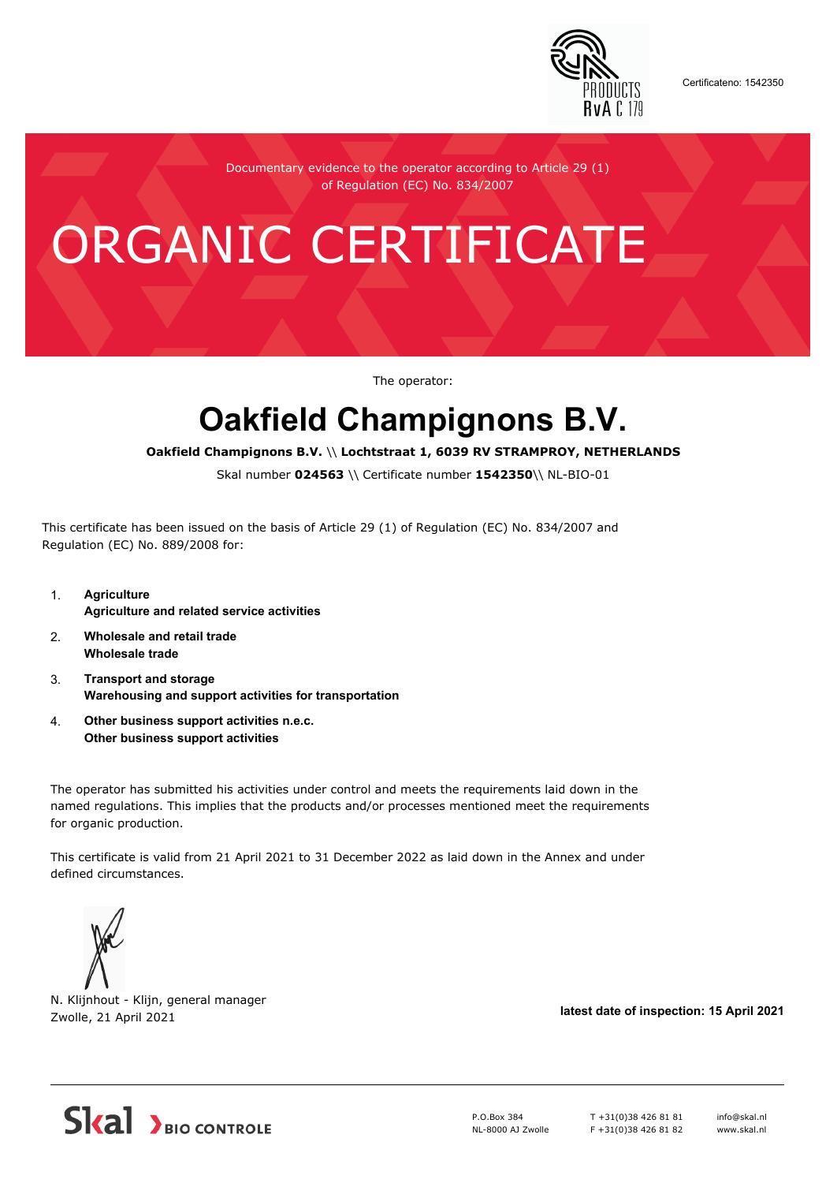

Certificateno: 1542350

Documentary evidence to the operator according to Article 29 (1) of Regulation (EC) No. 834/2007

## ORGANIC CERTIFICATE

The operator:

## **Oakfield Champignons B.V.**

**Oakfield Champignons B.V.** \\ **Lochtstraat 1, 6039 RV STRAMPROY, NETHERLANDS**

Skal number **024563** \\ Certificate number **1542350**\\ NL-BIO-01

This certificate has been issued on the basis of Article 29 (1) of Regulation (EC) No. 834/2007 and Regulation (EC) No. 889/2008 for:

- 1. **Agriculture Agriculture and related service activities**
- 2. **Wholesale and retail trade Wholesale trade**
- 3. **Transport and storage Warehousing and support activities for transportation**
- 4. **Other business support activities n.e.c. Other business support activities**

The operator has submitted his activities under control and meets the requirements laid down in the named regulations. This implies that the products and/or processes mentioned meet the requirements for organic production.

This certificate is valid from 21 April 2021 to 31 December 2022 as laid down in the Annex and under defined circumstances.



N. Klijnhout - Klijn, general manager Zwolle, 21 April 2021 **latest date of inspection: 15 April 2021**



P.O.Box 384 NL-8000 AJ Zwolle T +31(0)38 426 81 81 F +31(0)38 426 81 82 info@skal.nl www.skal.nl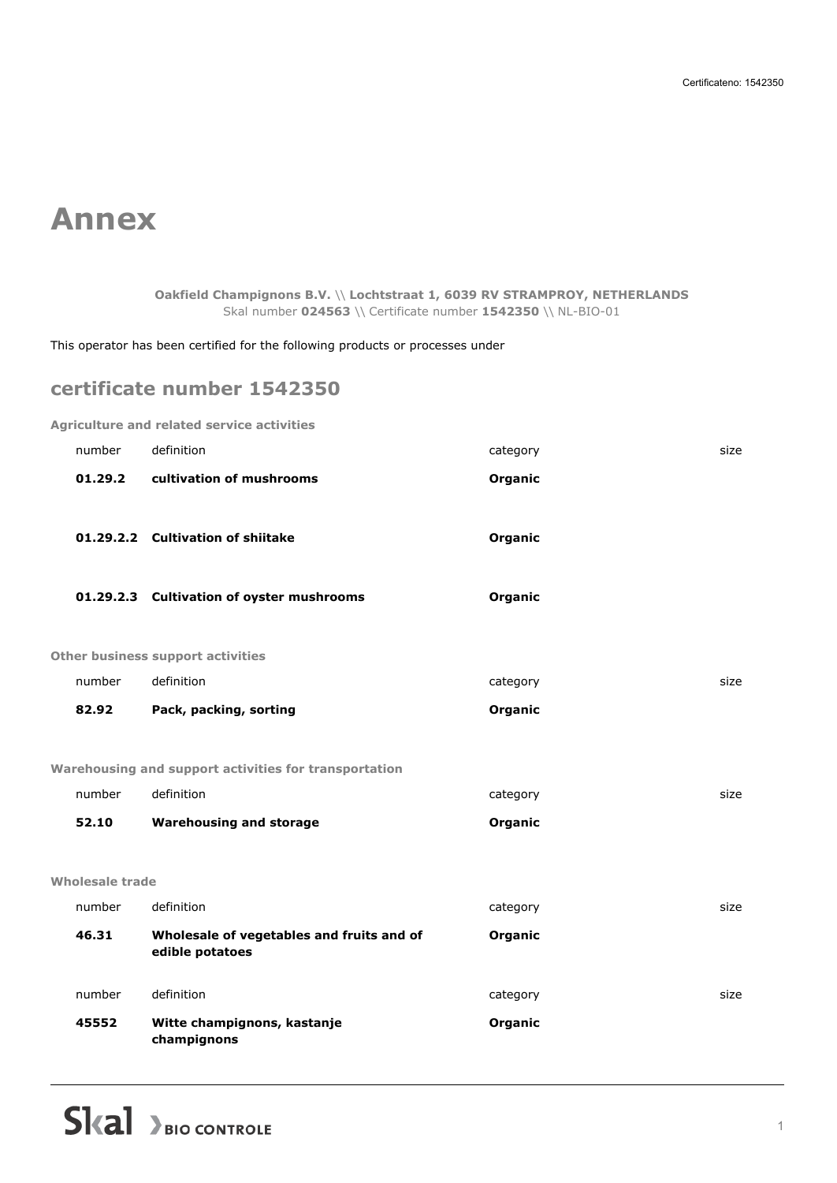## **Annex**

**Oakfield Champignons B.V.** \\ **Lochtstraat 1, 6039 RV STRAMPROY, NETHERLANDS** Skal number **024563** \\ Certificate number **1542350** \\ NL-BIO-01

This operator has been certified for the following products or processes under

## **certificate number 1542350**

|                                          |         | <b>Agriculture and related service activities</b>            |          |      |
|------------------------------------------|---------|--------------------------------------------------------------|----------|------|
| number                                   |         | definition                                                   | category | size |
|                                          | 01.29.2 | cultivation of mushrooms                                     | Organic  |      |
|                                          |         | 01.29.2.2 Cultivation of shiitake                            | Organic  |      |
|                                          |         | 01.29.2.3 Cultivation of oyster mushrooms                    | Organic  |      |
| <b>Other business support activities</b> |         |                                                              |          |      |
| number                                   |         | definition                                                   | category | size |
| 82.92                                    |         | Pack, packing, sorting                                       | Organic  |      |
|                                          |         | Warehousing and support activities for transportation        |          |      |
| number                                   |         | definition                                                   | category | size |
| 52.10                                    |         | <b>Warehousing and storage</b>                               | Organic  |      |
| <b>Wholesale trade</b>                   |         |                                                              |          |      |
| number                                   |         | definition                                                   | category | size |
| 46.31                                    |         | Wholesale of vegetables and fruits and of<br>edible potatoes | Organic  |      |
| number                                   |         | definition                                                   | category | size |
| 45552                                    |         | Witte champignons, kastanje<br>champignons                   | Organic  |      |